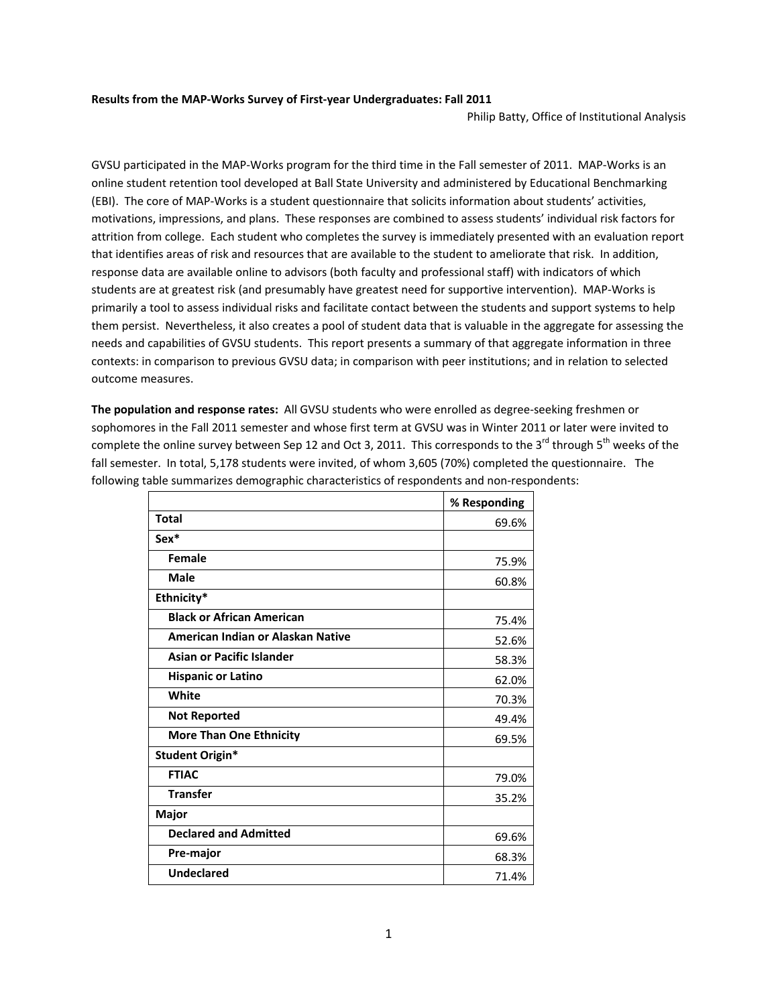## **Results from the MAP‐Works Survey of First‐year Undergraduates: Fall 2011**

Philip Batty, Office of Institutional Analysis

GVSU participated in the MAP‐Works program for the third time in the Fall semester of 2011. MAP‐Works is an online student retention tool developed at Ball State University and administered by Educational Benchmarking (EBI). The core of MAP‐Works is a student questionnaire that solicits information about students' activities, motivations, impressions, and plans. These responses are combined to assess students' individual risk factors for attrition from college. Each student who completes the survey is immediately presented with an evaluation report that identifies areas of risk and resources that are available to the student to ameliorate that risk. In addition, response data are available online to advisors (both faculty and professional staff) with indicators of which students are at greatest risk (and presumably have greatest need for supportive intervention). MAP‐Works is primarily a tool to assess individual risks and facilitate contact between the students and support systems to help them persist. Nevertheless, it also creates a pool of student data that is valuable in the aggregate for assessing the needs and capabilities of GVSU students. This report presents a summary of that aggregate information in three contexts: in comparison to previous GVSU data; in comparison with peer institutions; and in relation to selected outcome measures.

**The population and response rates:** All GVSU students who were enrolled as degree‐seeking freshmen or sophomores in the Fall 2011 semester and whose first term at GVSU was in Winter 2011 or later were invited to complete the online survey between Sep 12 and Oct 3, 2011. This corresponds to the 3<sup>rd</sup> through 5<sup>th</sup> weeks of the fall semester. In total, 5,178 students were invited, of whom 3,605 (70%) completed the questionnaire. The following table summarizes demographic characteristics of respondents and non-respondents:

|                                   | % Responding |
|-----------------------------------|--------------|
| <b>Total</b>                      | 69.6%        |
| Sex*                              |              |
| Female                            | 75.9%        |
| Male                              | 60.8%        |
| Ethnicity*                        |              |
| <b>Black or African American</b>  | 75.4%        |
| American Indian or Alaskan Native | 52.6%        |
| <b>Asian or Pacific Islander</b>  | 58.3%        |
| <b>Hispanic or Latino</b>         | 62.0%        |
| White                             | 70.3%        |
| <b>Not Reported</b>               | 49.4%        |
| <b>More Than One Ethnicity</b>    | 69.5%        |
| <b>Student Origin*</b>            |              |
| <b>FTIAC</b>                      | 79.0%        |
| <b>Transfer</b>                   | 35.2%        |
| Major                             |              |
| <b>Declared and Admitted</b>      | 69.6%        |
| Pre-major                         | 68.3%        |
| <b>Undeclared</b>                 | 71.4%        |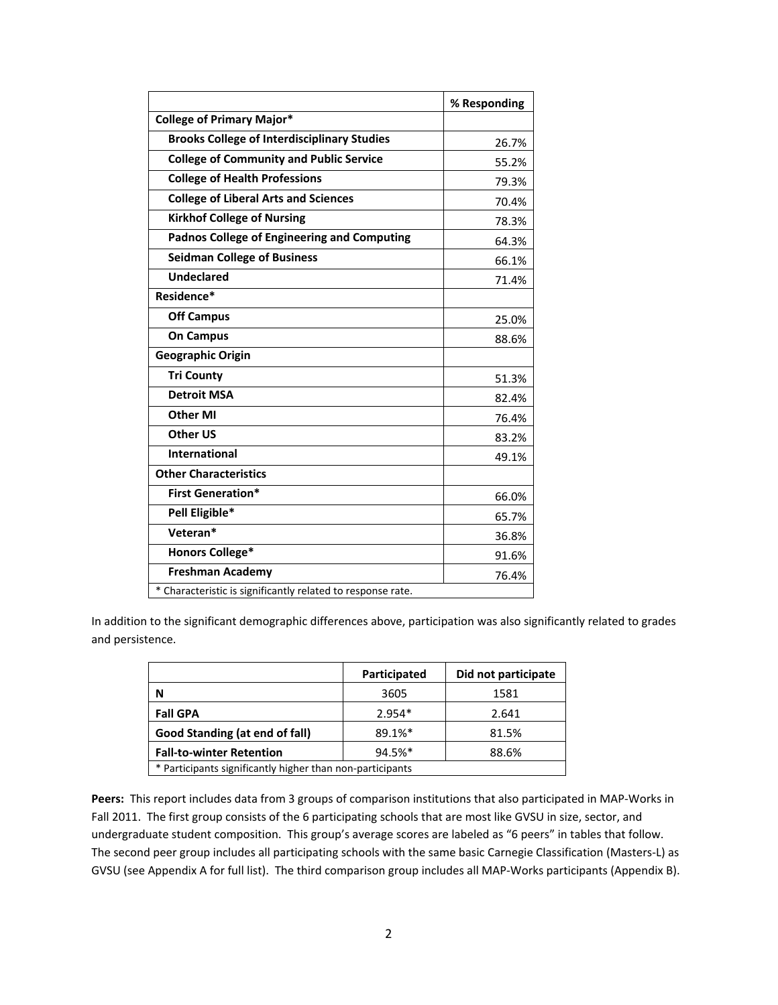|                                                             | % Responding |
|-------------------------------------------------------------|--------------|
| <b>College of Primary Major*</b>                            |              |
| <b>Brooks College of Interdisciplinary Studies</b>          | 26.7%        |
| <b>College of Community and Public Service</b>              | 55.2%        |
| <b>College of Health Professions</b>                        | 79.3%        |
| <b>College of Liberal Arts and Sciences</b>                 | 70.4%        |
| <b>Kirkhof College of Nursing</b>                           | 78.3%        |
| <b>Padnos College of Engineering and Computing</b>          | 64.3%        |
| <b>Seidman College of Business</b>                          | 66.1%        |
| <b>Undeclared</b>                                           | 71.4%        |
| Residence*                                                  |              |
| <b>Off Campus</b>                                           | 25.0%        |
| <b>On Campus</b>                                            | 88.6%        |
| <b>Geographic Origin</b>                                    |              |
| <b>Tri County</b>                                           | 51.3%        |
| <b>Detroit MSA</b>                                          | 82.4%        |
| <b>Other MI</b>                                             | 76.4%        |
| <b>Other US</b>                                             | 83.2%        |
| <b>International</b>                                        | 49.1%        |
| <b>Other Characteristics</b>                                |              |
| <b>First Generation*</b>                                    | 66.0%        |
| Pell Eligible*                                              | 65.7%        |
| Veteran*                                                    | 36.8%        |
| <b>Honors College*</b>                                      | 91.6%        |
| <b>Freshman Academy</b>                                     | 76.4%        |
| * Characteristic is significantly related to response rate. |              |

In addition to the significant demographic differences above, participation was also significantly related to grades and persistence.

|                                                           | Participated | Did not participate |  |  |  |
|-----------------------------------------------------------|--------------|---------------------|--|--|--|
| N                                                         | 3605         | 1581                |  |  |  |
| <b>Fall GPA</b>                                           | $2.954*$     | 2.641               |  |  |  |
| Good Standing (at end of fall)                            | 89.1%*       | 81.5%               |  |  |  |
| <b>Fall-to-winter Retention</b>                           | 94.5%*       | 88.6%               |  |  |  |
| * Participants significantly higher than non-participants |              |                     |  |  |  |

Peers: This report includes data from 3 groups of comparison institutions that also participated in MAP-Works in Fall 2011. The first group consists of the 6 participating schools that are most like GVSU in size, sector, and undergraduate student composition. This group's average scores are labeled as "6 peers" in tables that follow. The second peer group includes all participating schools with the same basic Carnegie Classification (Masters‐L) as GVSU (see Appendix A for full list). The third comparison group includes all MAP‐Works participants (Appendix B).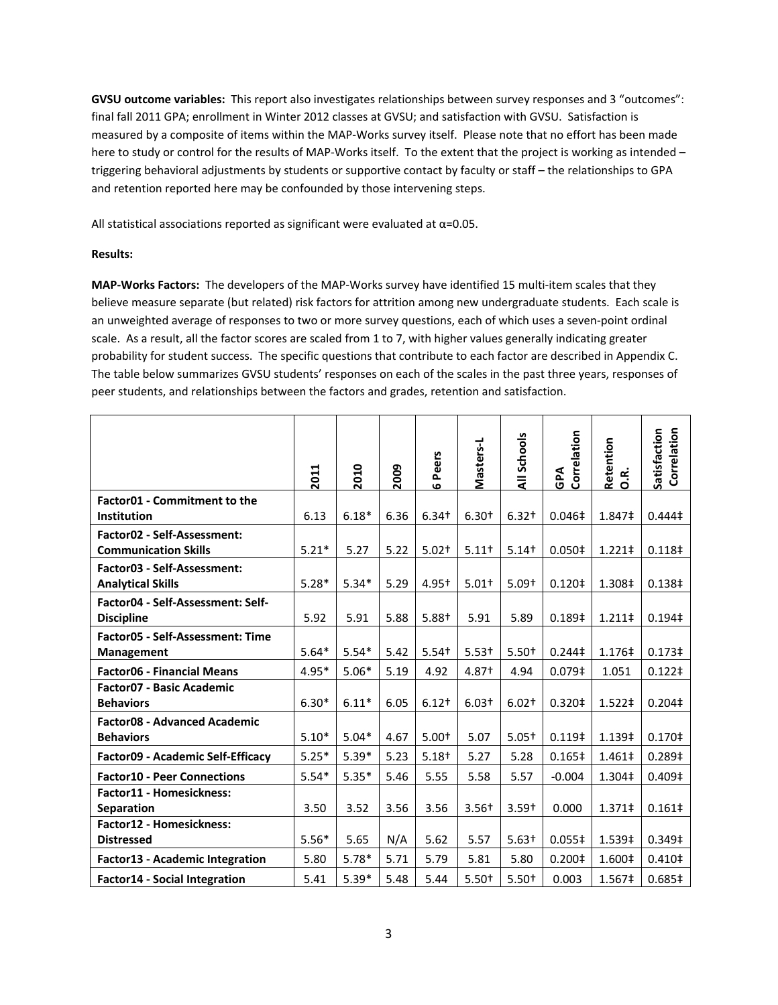**GVSU outcome variables:** This report also investigates relationships between survey responses and 3 "outcomes": final fall 2011 GPA; enrollment in Winter 2012 classes at GVSU; and satisfaction with GVSU. Satisfaction is measured by a composite of items within the MAP‐Works survey itself. Please note that no effort has been made here to study or control for the results of MAP-Works itself. To the extent that the project is working as intended – triggering behavioral adjustments by students or supportive contact by faculty or staff – the relationships to GPA and retention reported here may be confounded by those intervening steps.

All statistical associations reported as significant were evaluated at  $\alpha$ =0.05.

## **Results:**

**MAP‐Works Factors:** The developers of the MAP‐Works survey have identified 15 multi‐item scales that they believe measure separate (but related) risk factors for attrition among new undergraduate students. Each scale is an unweighted average of responses to two or more survey questions, each of which uses a seven‐point ordinal scale. As a result, all the factor scores are scaled from 1 to 7, with higher values generally indicating greater probability for student success. The specific questions that contribute to each factor are described in Appendix C. The table below summarizes GVSU students' responses on each of the scales in the past three years, responses of peer students, and relationships between the factors and grades, retention and satisfaction.

|                                                            | 2011    | 2010    | 2009 | Peers<br>$\bullet$ | Masters-L         | All Schools | Correlation<br>GPA | Retention<br><b>B.</b> | Correlation<br>Satisfaction |
|------------------------------------------------------------|---------|---------|------|--------------------|-------------------|-------------|--------------------|------------------------|-----------------------------|
| <b>Factor01 - Commitment to the</b><br>Institution         | 6.13    | $6.18*$ | 6.36 | $6.34 +$           | $6.30+$           | $6.32 +$    | $0.046 \ddagger$   | 1.847‡                 | $0.444 \ddagger$            |
| Factor02 - Self-Assessment:<br><b>Communication Skills</b> | $5.21*$ | 5.27    | 5.22 | $5.02 +$           | $5.11+$           | $5.14+$     | 0.050 <sup>‡</sup> | 1.221‡                 | 0.118 <sup>‡</sup>          |
| Factor03 - Self-Assessment:<br><b>Analytical Skills</b>    | $5.28*$ | $5.34*$ | 5.29 | $4.95 +$           | $5.01+$           | $5.09+$     | $0.120$ ‡          | 1.308‡                 | 0.138 <sup>‡</sup>          |
| Factor04 - Self-Assessment: Self-<br><b>Discipline</b>     | 5.92    | 5.91    | 5.88 | $5.88+$            | 5.91              | 5.89        | 0.189 <sup>‡</sup> | 1.211‡                 | 0.194 <sup>‡</sup>          |
| Factor05 - Self-Assessment: Time<br>Management             | $5.64*$ | $5.54*$ | 5.42 | $5.54+$            | $5.53+$           | $5.50+$     | $0.244 \ddagger$   | 1.176‡                 | 0.173 <sup>‡</sup>          |
| <b>Factor06 - Financial Means</b>                          | $4.95*$ | $5.06*$ | 5.19 | 4.92               | 4.87 <sup>+</sup> | 4.94        | 0.079 <sup>‡</sup> | 1.051                  | $0.122 \ddagger$            |
| Factor07 - Basic Academic<br><b>Behaviors</b>              | $6.30*$ | $6.11*$ | 6.05 | $6.12+$            | $6.03+$           | $6.02 +$    | 0.320‡             | 1.522‡                 | 0.204 <sup>‡</sup>          |
| Factor08 - Advanced Academic<br><b>Behaviors</b>           | $5.10*$ | $5.04*$ | 4.67 | $5.00+$            | 5.07              | $5.05+$     | 0.119 <sup>‡</sup> | 1.139‡                 | 0.170 <sup>‡</sup>          |
| <b>Factor09 - Academic Self-Efficacy</b>                   | $5.25*$ | $5.39*$ | 5.23 | $5.18+$            | 5.27              | 5.28        | 0.165‡             | 1.461‡                 | 0.289‡                      |
| <b>Factor10 - Peer Connections</b>                         | $5.54*$ | $5.35*$ | 5.46 | 5.55               | 5.58              | 5.57        | $-0.004$           | 1.304‡                 | 0.409 <sup>‡</sup>          |
| Factor11 - Homesickness:<br><b>Separation</b>              | 3.50    | 3.52    | 3.56 | 3.56               | $3.56 +$          | $3.59+$     | 0.000              | 1.371‡                 | $0.161 \dagger$             |
| Factor12 - Homesickness:<br><b>Distressed</b>              | $5.56*$ | 5.65    | N/A  | 5.62               | 5.57              | $5.63+$     | 0.055‡             | 1.539‡                 | 0.349 <sup>‡</sup>          |
| <b>Factor13 - Academic Integration</b>                     | 5.80    | $5.78*$ | 5.71 | 5.79               | 5.81              | 5.80        | 0.200 <sup>‡</sup> | 1.600‡                 | 0.410 <sup>‡</sup>          |
| <b>Factor14 - Social Integration</b>                       | 5.41    | $5.39*$ | 5.48 | 5.44               | $5.50+$           | $5.50+$     | 0.003              | 1.567‡                 | 0.685‡                      |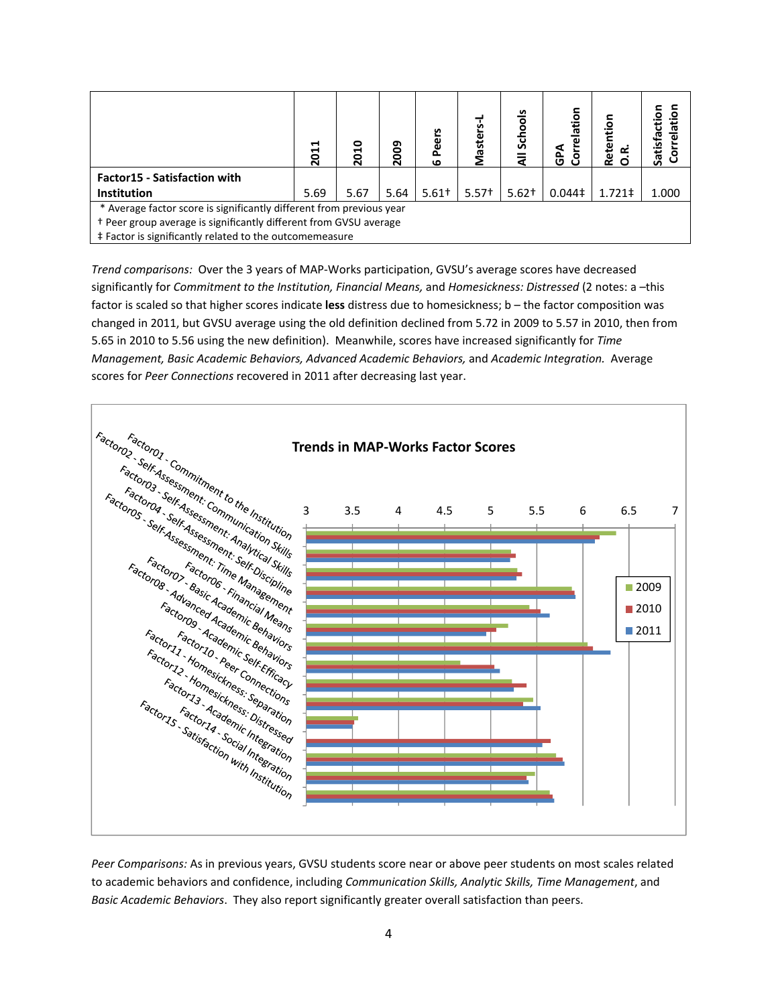|                                                                      | 님<br>$\overline{5}$ | 2010 | 2009 | ی<br>ō<br>$\mathbf{Q}$<br>ő.<br>ڡ | Masters- | Schools | Correlation<br>GPA | Ē<br>Reter<br>≃ | Satisf |
|----------------------------------------------------------------------|---------------------|------|------|-----------------------------------|----------|---------|--------------------|-----------------|--------|
| <b>Factor15 - Satisfaction with</b>                                  |                     |      |      |                                   |          |         |                    |                 |        |
| <b>Institution</b>                                                   | 5.69                | 5.67 | 5.64 | $5.61+$                           | $5.57+$  | $5.62+$ | $0.044\ddagger$    | $1.721 \pm$     | 1.000  |
| * Average factor score is significantly different from previous year |                     |      |      |                                   |          |         |                    |                 |        |
| + Peer group average is significantly different from GVSU average    |                     |      |      |                                   |          |         |                    |                 |        |
| ‡ Factor is significantly related to the outcomemeasure              |                     |      |      |                                   |          |         |                    |                 |        |

*Trend comparisons:* Over the 3 years of MAP‐Works participation, GVSU's average scores have decreased significantly for *Commitment to the Institution, Financial Means,* and *Homesickness: Distressed* (2 notes: a –this factor is scaled so that higher scores indicate **less** distress due to homesickness; b – the factor composition was changed in 2011, but GVSU average using the old definition declined from 5.72 in 2009 to 5.57 in 2010, then from 5.65 in 2010 to 5.56 using the new definition). Meanwhile, scores have increased significantly for *Time Management, Basic Academic Behaviors, Advanced Academic Behaviors,* and *Academic Integration.* Average scores for *Peer Connections* recovered in 2011 after decreasing last year.



*Peer Comparisons:* As in previous years, GVSU students score near or above peer students on most scales related to academic behaviors and confidence, including *Communication Skills, Analytic Skills, Time Management*, and *Basic Academic Behaviors*. They also report significantly greater overall satisfaction than peers.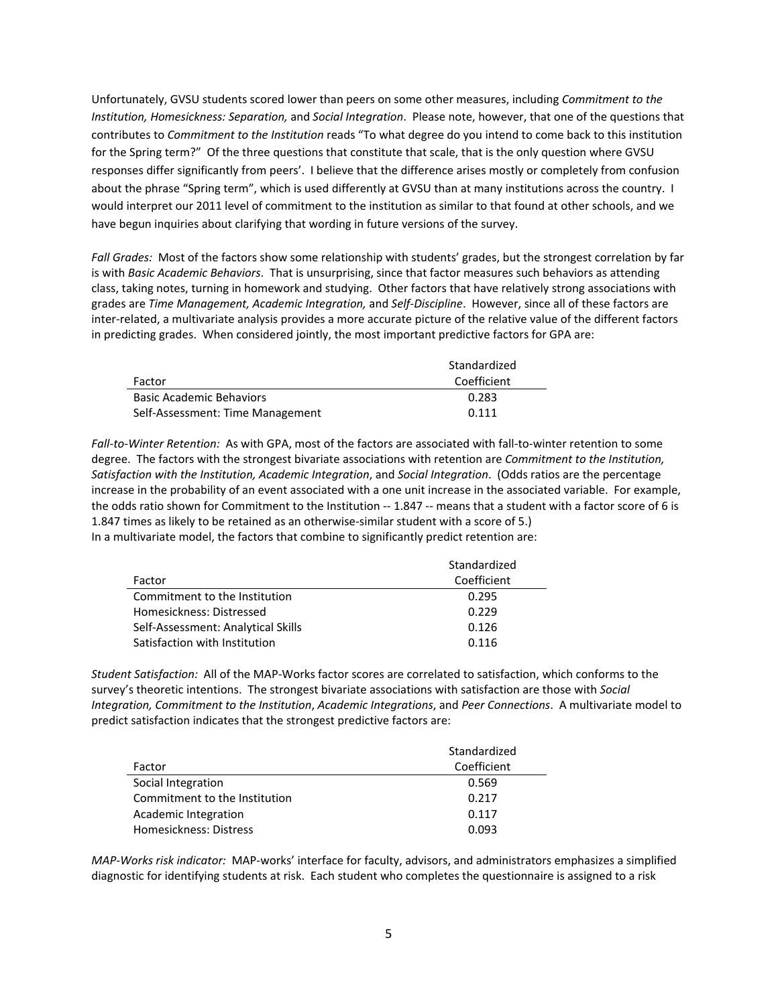Unfortunately, GVSU students scored lower than peers on some other measures, including *Commitment to the Institution, Homesickness: Separation,* and *Social Integration*. Please note, however, that one of the questions that contributes to *Commitment to the Institution* reads "To what degree do you intend to come back to this institution for the Spring term?" Of the three questions that constitute that scale, that is the only question where GVSU responses differ significantly from peers'. I believe that the difference arises mostly or completely from confusion about the phrase "Spring term", which is used differently at GVSU than at many institutions across the country. I would interpret our 2011 level of commitment to the institution as similar to that found at other schools, and we have begun inquiries about clarifying that wording in future versions of the survey.

Fall Grades: Most of the factors show some relationship with students' grades, but the strongest correlation by far is with *Basic Academic Behaviors*. That is unsurprising, since that factor measures such behaviors as attending class, taking notes, turning in homework and studying. Other factors that have relatively strong associations with grades are *Time Management, Academic Integration,* and *Self‐Discipline*. However, since all of these factors are inter-related, a multivariate analysis provides a more accurate picture of the relative value of the different factors in predicting grades. When considered jointly, the most important predictive factors for GPA are:

|                                  | Standardized |
|----------------------------------|--------------|
| Factor                           | Coefficient  |
| <b>Basic Academic Behaviors</b>  | 0.283        |
| Self-Assessment: Time Management | 0.111        |

*Fall‐to‐Winter Retention:* As with GPA, most of the factors are associated with fall‐to‐winter retention to some degree. The factors with the strongest bivariate associations with retention are *Commitment to the Institution, Satisfaction with the Institution, Academic Integration*, and *Social Integration*. (Odds ratios are the percentage increase in the probability of an event associated with a one unit increase in the associated variable. For example, the odds ratio shown for Commitment to the Institution -- 1.847 -- means that a student with a factor score of 6 is 1.847 times as likely to be retained as an otherwise‐similar student with a score of 5.) In a multivariate model, the factors that combine to significantly predict retention are:

|                                    | Standardized |  |  |  |
|------------------------------------|--------------|--|--|--|
| Factor                             | Coefficient  |  |  |  |
| Commitment to the Institution      | 0.295        |  |  |  |
| Homesickness: Distressed           | 0.229        |  |  |  |
| Self-Assessment: Analytical Skills | 0.126        |  |  |  |
| Satisfaction with Institution      | 0.116        |  |  |  |

*Student Satisfaction:* All of the MAP‐Works factor scores are correlated to satisfaction, which conforms to the survey's theoretic intentions. The strongest bivariate associations with satisfaction are those with *Social Integration, Commitment to the Institution*, *Academic Integrations*, and *Peer Connections*. A multivariate model to predict satisfaction indicates that the strongest predictive factors are:

|                               | Standardized |
|-------------------------------|--------------|
| Factor                        | Coefficient  |
| Social Integration            | 0.569        |
| Commitment to the Institution | 0.217        |
| Academic Integration          | 0.117        |
| Homesickness: Distress        | 0.093        |

*MAP‐Works risk indicator:* MAP‐works' interface for faculty, advisors, and administrators emphasizes a simplified diagnostic for identifying students at risk. Each student who completes the questionnaire is assigned to a risk